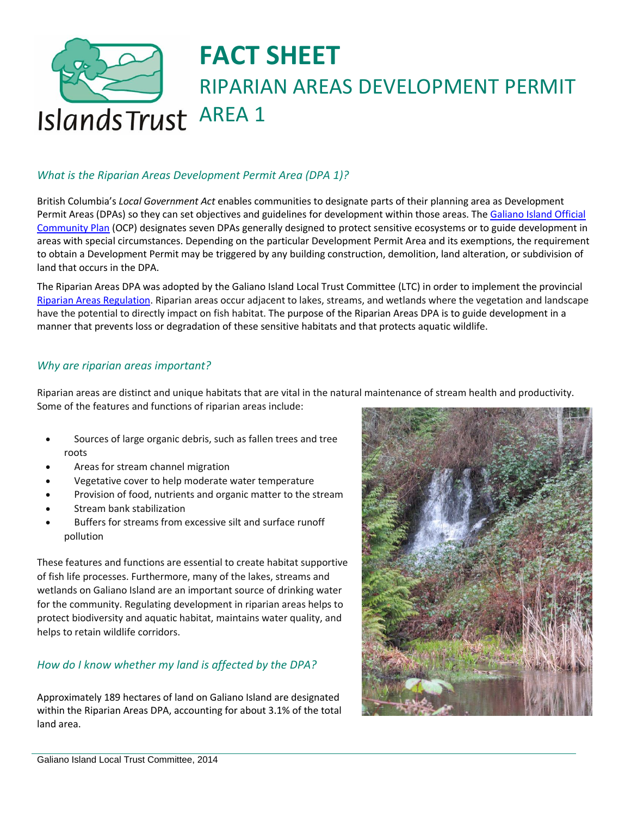# **FACT SHEET** RIPARIAN AREAS DEVELOPMENT PERMIT Islands Trust AREA 1

### *What is the Riparian Areas Development Permit Area (DPA 1)?*

British Columbia's *Local Government Act* enables communities to designate parts of their planning area as Development Permit Areas (DPAs) so they can set objectives and guidelines for development within those areas. The [Galiano Island Official](http://www.islandstrust.bc.ca/media/243718/GalianoOCP108Oct13.pdf)  [Community Plan](http://www.islandstrust.bc.ca/media/243718/GalianoOCP108Oct13.pdf) (OCP) designates seven DPAs generally designed to protect sensitive ecosystems or to guide development in areas with special circumstances. Depending on the particular Development Permit Area and its exemptions, the requirement to obtain a Development Permit may be triggered by any building construction, demolition, land alteration, or subdivision of land that occurs in the DPA.

The Riparian Areas DPA was adopted by the Galiano Island Local Trust Committee (LTC) in order to implement the provincial [Riparian Areas Regulation.](http://www.islandstrust.bc.ca/media/222034/sararfactsheet.pdf) Riparian areas occur adjacent to lakes, streams, and wetlands where the vegetation and landscape have the potential to directly impact on fish habitat. The purpose of the Riparian Areas DPA is to guide development in a manner that prevents loss or degradation of these sensitive habitats and that protects aquatic wildlife.

#### *Why are riparian areas important?*

Riparian areas are distinct and unique habitats that are vital in the natural maintenance of stream health and productivity. Some of the features and functions of riparian areas include:

- Sources of large organic debris, such as fallen trees and tree roots
- Areas for stream channel migration
- Vegetative cover to help moderate water temperature
- Provision of food, nutrients and organic matter to the stream
- Stream bank stabilization
- Buffers for streams from excessive silt and surface runoff pollution

These features and functions are essential to create habitat supportive of fish life processes. Furthermore, many of the lakes, streams and wetlands on Galiano Island are an important source of drinking water for the community. Regulating development in riparian areas helps to protect biodiversity and aquatic habitat, maintains water quality, and helps to retain wildlife corridors.

#### *How do I know whether my land is affected by the DPA?*

Approximately 189 hectares of land on Galiano Island are designated within the Riparian Areas DPA, accounting for about 3.1% of the total land area.